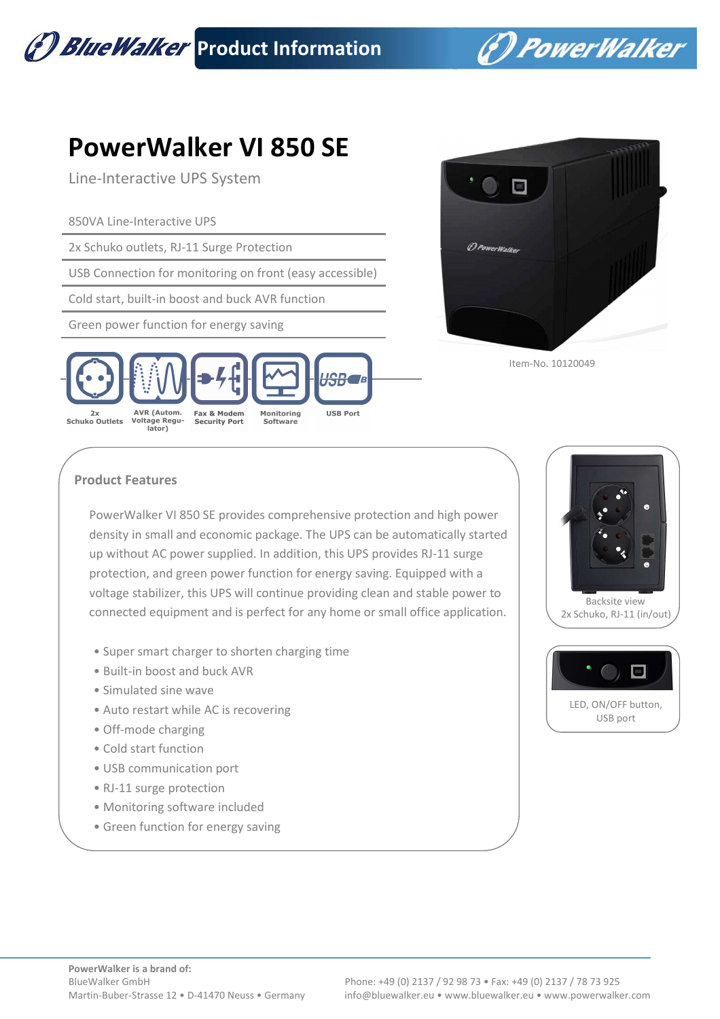

(\*) PowerWalker

## **PowerWalker VI 850 SE**

Line-Interactive UPS System

850VA Line-Interactive UPS

2x Schuko outlets, RJ-11 Surge Protection

USB Connection for monitoring on front (easy accessible)

Cold start, built-in boost and buck AVR function

Green power function for energy saving





Item-No. 10120049

## **Product Features**

PowerWalker VI 850 SE provides comprehensive protection and high power density in small and economic package. The UPS can be automatically started up without AC power supplied. In addition, this UPS provides RJ-11 surge protection, and green power function for energy saving. Equipped with a voltage stabilizer, this UPS will continue providing clean and stable power to connected equipment and is perfect for any home or small office application.

- Super smart charger to shorten charging time
- Built-in boost and buck AVR
- Simulated sine wave
- Auto restart while AC is recovering
- Off-mode charging
- Cold start function
- USB communication port
- RJ-11 surge protection
- Monitoring software included
- Green function for energy saving



 Backsite view 2x Schuko, RJ-11 (in/out)